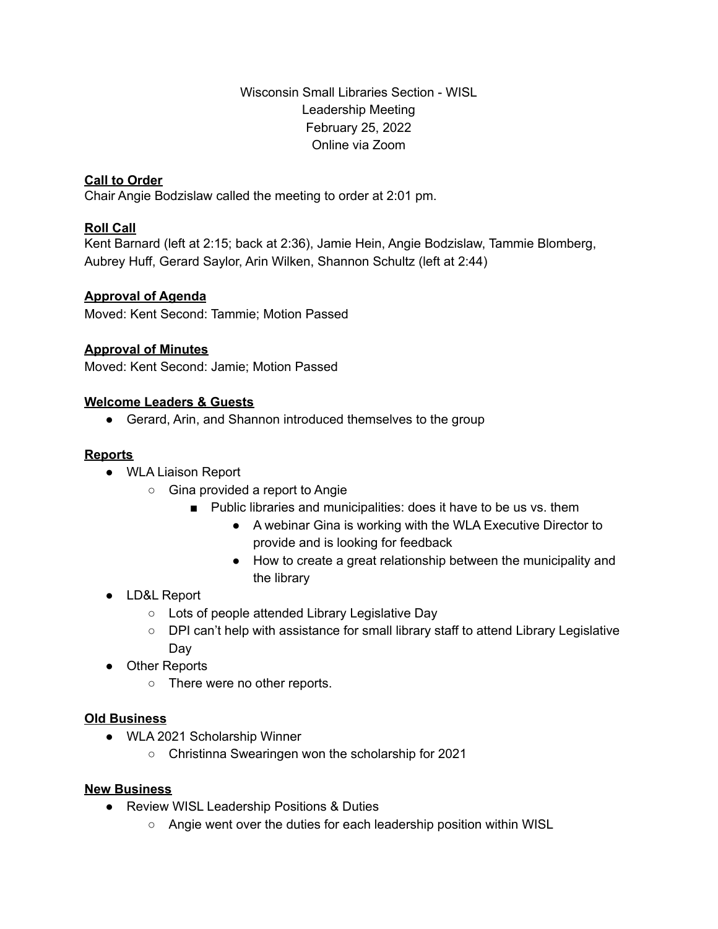Wisconsin Small Libraries Section - WISL Leadership Meeting February 25, 2022 Online via Zoom

## **Call to Order**

Chair Angie Bodzislaw called the meeting to order at 2:01 pm.

## **Roll Call**

Kent Barnard (left at 2:15; back at 2:36), Jamie Hein, Angie Bodzislaw, Tammie Blomberg, Aubrey Huff, Gerard Saylor, Arin Wilken, Shannon Schultz (left at 2:44)

## **Approval of Agenda**

Moved: Kent Second: Tammie; Motion Passed

## **Approval of Minutes**

Moved: Kent Second: Jamie; Motion Passed

## **Welcome Leaders & Guests**

• Gerard, Arin, and Shannon introduced themselves to the group

## **Reports**

- WLA Liaison Report
	- Gina provided a report to Angie
		- Public libraries and municipalities: does it have to be us vs. them
			- A webinar Gina is working with the WLA Executive Director to provide and is looking for feedback
			- How to create a great relationship between the municipality and the library
- LD&L Report
	- Lots of people attended Library Legislative Day
	- DPI can't help with assistance for small library staff to attend Library Legislative Day
- Other Reports
	- There were no other reports.

#### **Old Business**

- WLA 2021 Scholarship Winner
	- Christinna Swearingen won the scholarship for 2021

#### **New Business**

- Review WISL Leadership Positions & Duties
	- Angie went over the duties for each leadership position within WISL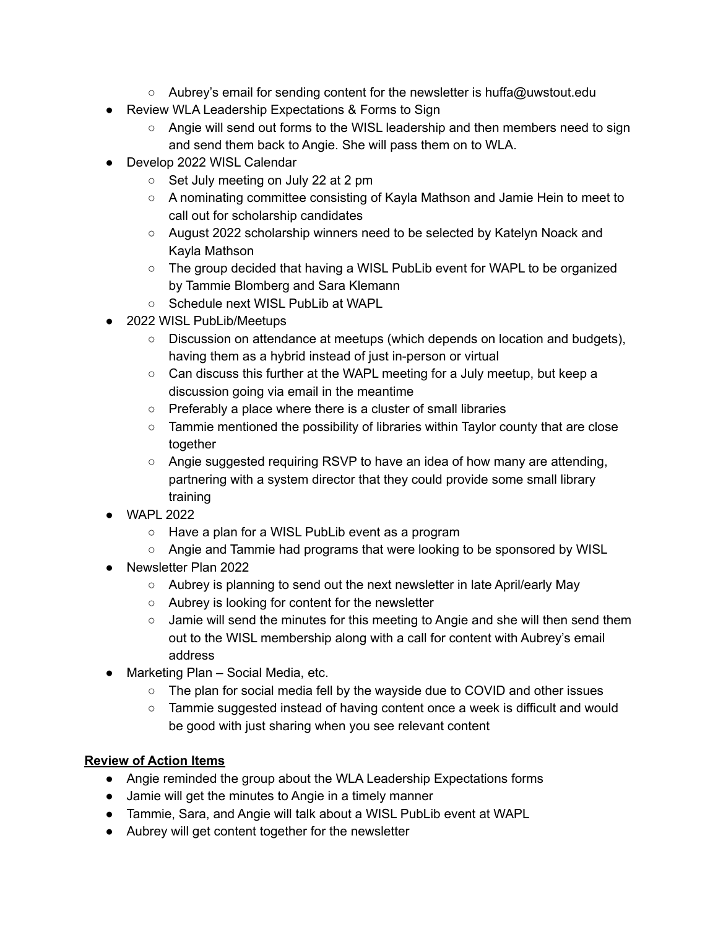- Aubrey's email for sending content for the newsletter is huffa@uwstout.edu
- Review WLA Leadership Expectations & Forms to Sign
	- Angie will send out forms to the WISL leadership and then members need to sign and send them back to Angie. She will pass them on to WLA.
- Develop 2022 WISL Calendar
	- Set July meeting on July 22 at 2 pm
	- A nominating committee consisting of Kayla Mathson and Jamie Hein to meet to call out for scholarship candidates
	- August 2022 scholarship winners need to be selected by Katelyn Noack and Kayla Mathson
	- $\circ$  The group decided that having a WISL PubLib event for WAPL to be organized by Tammie Blomberg and Sara Klemann
	- Schedule next WISL PubLib at WAPL
- 2022 WISL PubLib/Meetups
	- Discussion on attendance at meetups (which depends on location and budgets), having them as a hybrid instead of just in-person or virtual
	- Can discuss this further at the WAPL meeting for a July meetup, but keep a discussion going via email in the meantime
	- Preferably a place where there is a cluster of small libraries
	- Tammie mentioned the possibility of libraries within Taylor county that are close together
	- Angie suggested requiring RSVP to have an idea of how many are attending, partnering with a system director that they could provide some small library training
- WAPL 2022
	- Have a plan for a WISL PubLib event as a program
	- Angie and Tammie had programs that were looking to be sponsored by WISL
- Newsletter Plan 2022
	- Aubrey is planning to send out the next newsletter in late April/early May
	- Aubrey is looking for content for the newsletter
	- $\circ$  Jamie will send the minutes for this meeting to Angie and she will then send them out to the WISL membership along with a call for content with Aubrey's email address
- Marketing Plan Social Media, etc.
	- The plan for social media fell by the wayside due to COVID and other issues
	- Tammie suggested instead of having content once a week is difficult and would be good with just sharing when you see relevant content

# **Review of Action Items**

- Angie reminded the group about the WLA Leadership Expectations forms
- Jamie will get the minutes to Angie in a timely manner
- Tammie, Sara, and Angie will talk about a WISL PubLib event at WAPL
- Aubrey will get content together for the newsletter